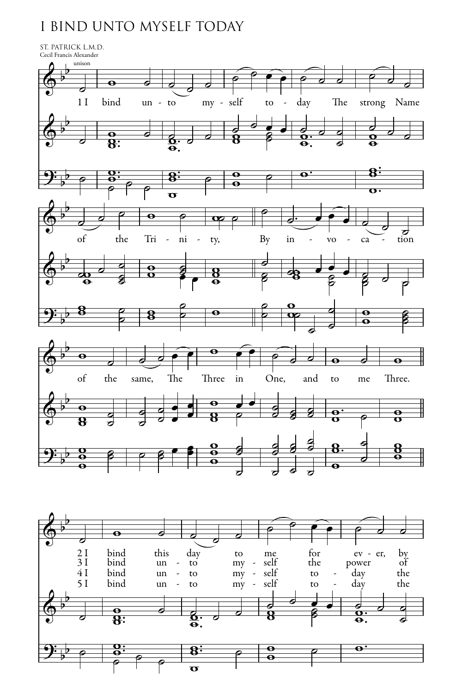## I BIND UNTO MYSELF TODAY



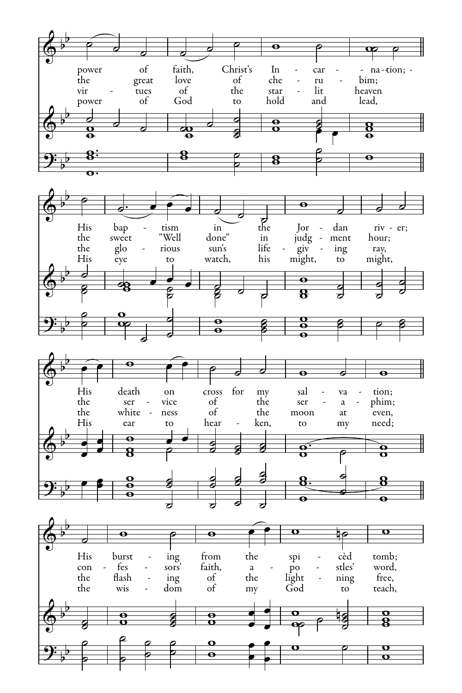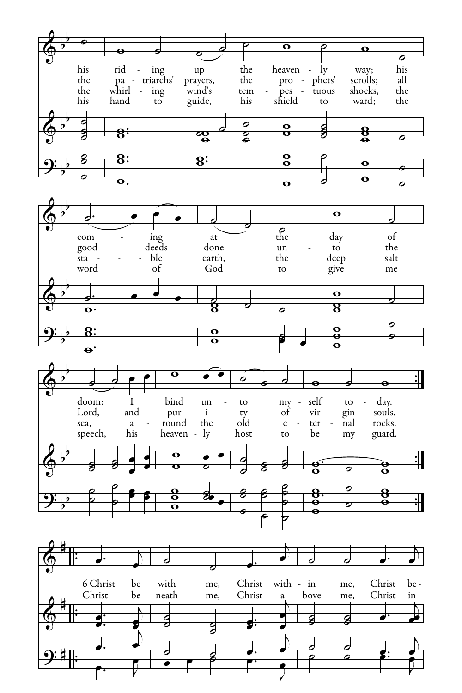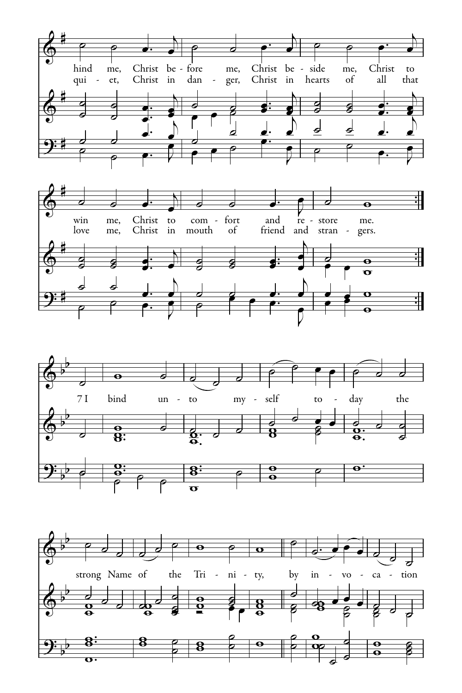